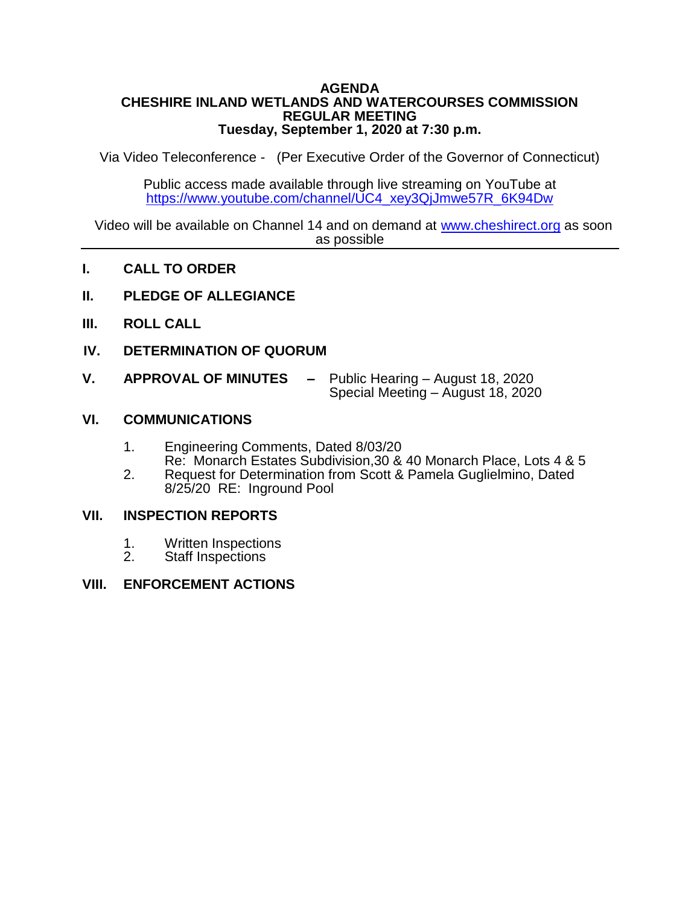### **AGENDA CHESHIRE INLAND WETLANDS AND WATERCOURSES COMMISSION REGULAR MEETING Tuesday, September 1, 2020 at 7:30 p.m.**

Via Video Teleconference - (Per Executive Order of the Governor of Connecticut)

Public access made available through live streaming on YouTube at [https://www.youtube.com/channel/UC4\\_xey3QjJmwe57R\\_6K94Dw](https://www.youtube.com/channel/UC4_xey3QjJmwe57R_6K94Dw)

Video will be available on Channel 14 and on demand at [www.cheshirect.org](http://www.cheshirect.org/) as soon as possible

- **I. CALL TO ORDER**
- **II. PLEDGE OF ALLEGIANCE**
- **III. ROLL CALL**
- **IV. DETERMINATION OF QUORUM**
- **V. APPROVAL OF MINUTES –** Public Hearing August 18, 2020 Special Meeting – August 18, 2020

## **VI. COMMUNICATIONS**

- 1. Engineering Comments, Dated 8/03/20 Re: Monarch Estates Subdivision,30 & 40 Monarch Place, Lots 4 & 5
- 2. Request for Determination from Scott & Pamela Guglielmino, Dated 8/25/20 RE: Inground Pool

### **VII. INSPECTION REPORTS**

- 1. Written Inspections<br>2. Staff Inspections
- Staff Inspections

### **VIII. ENFORCEMENT ACTIONS**